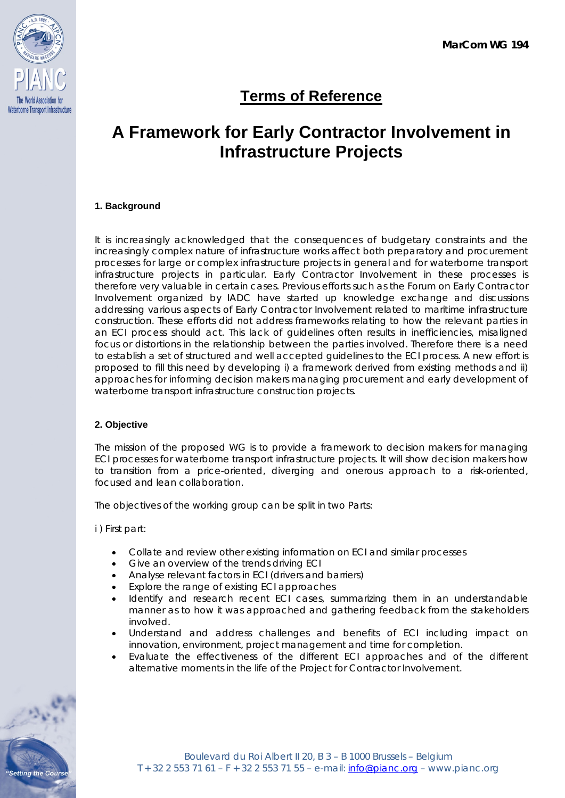

# **Terms of Reference**

## **A Framework for Early Contractor Involvement in Infrastructure Projects**

## **1. Background**

It is increasingly acknowledged that the consequences of budgetary constraints and the increasingly complex nature of infrastructure works affect both preparatory and procurement processes for large or complex infrastructure projects in general and for waterborne transport infrastructure projects in particular. Early Contractor Involvement in these processes is therefore very valuable in certain cases. Previous efforts such as the Forum on Early Contractor Involvement organized by IADC have started up knowledge exchange and discussions addressing various aspects of Early Contractor Involvement related to maritime infrastructure construction. These efforts did not address frameworks relating to how the relevant parties in an ECI process should act. This lack of guidelines often results in inefficiencies, misaligned focus or distortions in the relationship between the parties involved. Therefore there is a need to establish a set of structured and well accepted guidelines to the ECI process. A new effort is proposed to fill this need by developing i) a framework derived from existing methods and ii) approaches for informing decision makers managing procurement and early development of waterborne transport infrastructure construction projects.

### **2. Objective**

The mission of the proposed WG is to provide a framework to decision makers for managing ECI processes for waterborne transport infrastructure projects. It will show decision makers how to transition from a price-oriented, diverging and onerous approach to a risk-oriented, focused and lean collaboration.

The objectives of the working group can be split in two Parts:

i ) First part:

- Collate and review other existing information on ECI and similar processes
- Give an overview of the trends driving ECI
- Analyse relevant factors in ECI (drivers and barriers)
- Explore the range of existing ECI approaches
- Identify and research recent ECI cases, summarizing them in an understandable manner as to how it was approached and gathering feedback from the stakeholders involved.
- Understand and address challenges and benefits of ECI including impact on innovation, environment, project management and time for completion.
- Evaluate the effectiveness of the different ECI approaches and of the different alternative moments in the life of the Project for Contractor Involvement.

**tting the Cours**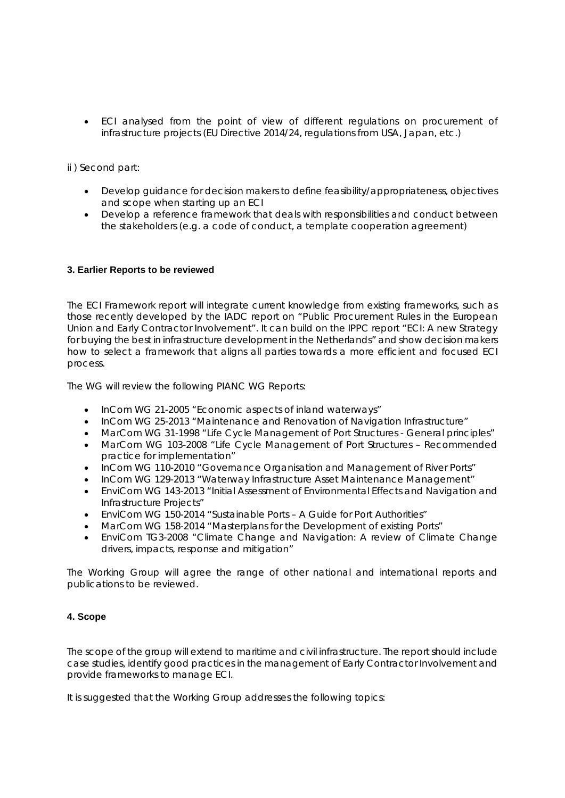• ECI analysed from the point of view of different regulations on procurement of infrastructure projects (EU Directive 2014/24, regulations from USA, Japan, etc.)

ii ) Second part:

- Develop guidance for decision makers to define feasibility/appropriateness, objectives and scope when starting up an ECI
- Develop a reference framework that deals with responsibilities and conduct between the stakeholders (e.g. a code of conduct, a template cooperation agreement)

#### **3. Earlier Reports to be reviewed**

The ECI Framework report will integrate current knowledge from existing frameworks, such as those recently developed by the IADC report on "Public Procurement Rules in the European Union and Early Contractor Involvement". It can build on the IPPC report "ECI: A new Strategy for buying the best in infrastructure development in the Netherlands" and show decision makers how to select a framework that aligns all parties towards a more efficient and focused ECI process.

The WG will review the following PIANC WG Reports:

- InCom WG 21-2005 "Economic aspects of inland waterways"
- InCom WG 25-2013 "Maintenance and Renovation of Navigation Infrastructure"
- MarCom WG 31-1998 "Life Cycle Management of Port Structures General principles"
- MarCom WG 103-2008 "Life Cycle Management of Port Structures Recommended practice for implementation"
- InCom WG 110-2010 "Governance Organisation and Management of River Ports"
- InCom WG 129-2013 "Waterway Infrastructure Asset Maintenance Management"
- EnviCom WG 143-2013 "Initial Assessment of Environmental Effects and Navigation and Infrastructure Projects"
- EnviCom WG 150-2014 "Sustainable Ports A Guide for Port Authorities"
- MarCom WG 158-2014 "Masterplans for the Development of existing Ports"
- EnviCom TG3-2008 "Climate Change and Navigation: A review of Climate Change drivers, impacts, response and mitigation"

The Working Group will agree the range of other national and international reports and publications to be reviewed.

#### **4. Scope**

The scope of the group will extend to maritime and civil infrastructure. The report should include case studies, identify good practices in the management of Early Contractor Involvement and provide frameworks to manage ECI.

It is suggested that the Working Group addresses the following topics: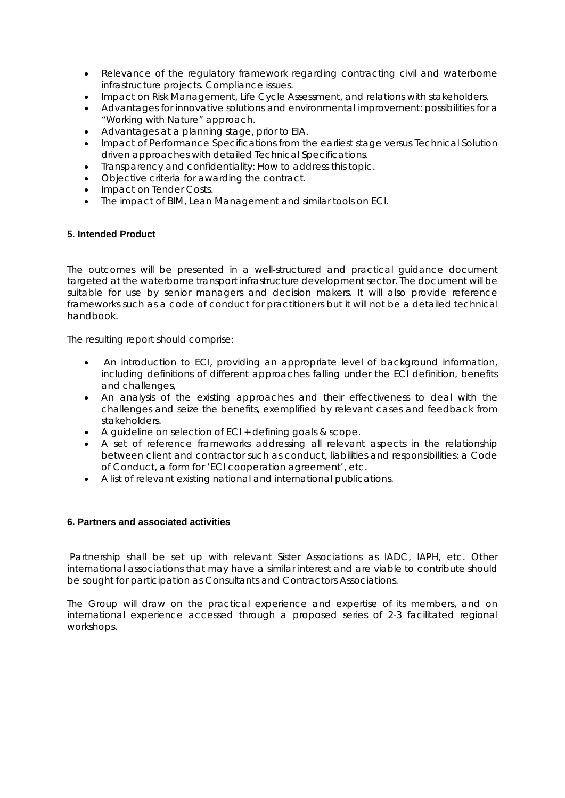- Relevance of the regulatory framework regarding contracting civil and waterborne infrastructure projects. Compliance issues.
- Impact on Risk Management, Life Cycle Assessment, and relations with stakeholders.
- Advantages for innovative solutions and environmental improvement: possibilities for a "Working with Nature" approach.
- Advantages at a planning stage, prior to EIA.
- Impact of Performance Specifications from the earliest stage versus Technical Solution driven approaches with detailed Technical Specifications.
- Transparency and confidentiality: How to address this topic.
- Objective criteria for awarding the contract.
- Impact on Tender Costs.
- The impact of BIM, Lean Management and similar tools on ECI.

#### **5. Intended Product**

The outcomes will be presented in a well-structured and practical guidance document targeted at the waterborne transport infrastructure development sector. The document will be suitable for use by senior managers and decision makers. It will also provide reference frameworks such as a code of conduct for practitioners but it will not be a detailed technical handbook.

The resulting report should comprise:

- An introduction to ECI, providing an appropriate level of background information, including definitions of different approaches falling under the ECI definition, benefits and challenges,
- An analysis of the existing approaches and their effectiveness to deal with the challenges and seize the benefits, exemplified by relevant cases and feedback from stakeholders.
- A guideline on selection of ECI + defining goals & scope.
- A set of reference frameworks addressing all relevant aspects in the relationship between client and contractor such as conduct, liabilities and responsibilities: a Code of Conduct, a form for 'ECI cooperation agreement', etc.
- A list of relevant existing national and international publications.

#### **6. Partners and associated activities**

Partnership shall be set up with relevant Sister Associations as IADC, IAPH, etc. Other international associations that may have a similar interest and are viable to contribute should be sought for participation as Consultants and Contractors Associations.

The Group will draw on the practical experience and expertise of its members, and on international experience accessed through a proposed series of 2-3 facilitated regional workshops.